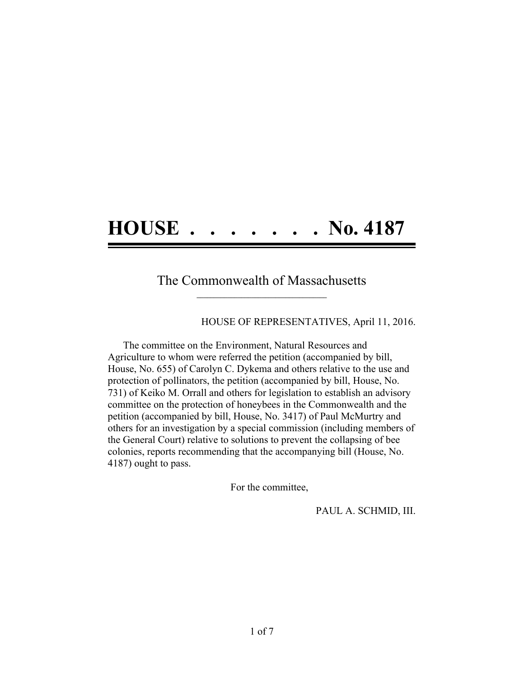## **HOUSE . . . . . . . No. 4187**

## The Commonwealth of Massachusetts **\_\_\_\_\_\_\_\_\_\_\_\_\_\_\_\_\_\_\_\_\_\_\_\_\_\_\_\_\_\_\_\_\_\_\_\_\_\_**

HOUSE OF REPRESENTATIVES, April 11, 2016.

The committee on the Environment, Natural Resources and Agriculture to whom were referred the petition (accompanied by bill, House, No. 655) of Carolyn C. Dykema and others relative to the use and protection of pollinators, the petition (accompanied by bill, House, No. 731) of Keiko M. Orrall and others for legislation to establish an advisory committee on the protection of honeybees in the Commonwealth and the petition (accompanied by bill, House, No. 3417) of Paul McMurtry and others for an investigation by a special commission (including members of the General Court) relative to solutions to prevent the collapsing of bee colonies, reports recommending that the accompanying bill (House, No. 4187) ought to pass.

For the committee,

PAUL A. SCHMID, III.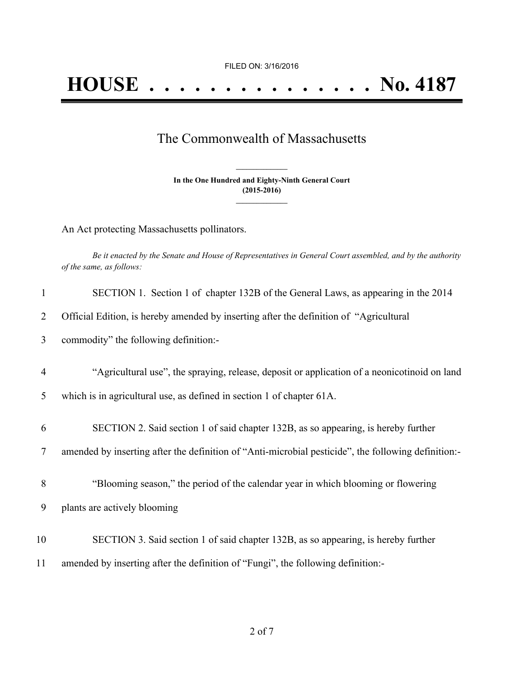## The Commonwealth of Massachusetts

**In the One Hundred and Eighty-Ninth General Court (2015-2016) \_\_\_\_\_\_\_\_\_\_\_\_\_\_\_**

**\_\_\_\_\_\_\_\_\_\_\_\_\_\_\_**

An Act protecting Massachusetts pollinators.

Be it enacted by the Senate and House of Representatives in General Court assembled, and by the authority *of the same, as follows:*

| 1              | SECTION 1. Section 1 of chapter 132B of the General Laws, as appearing in the 2014                  |
|----------------|-----------------------------------------------------------------------------------------------------|
| 2              | Official Edition, is hereby amended by inserting after the definition of "Agricultural"             |
| 3              | commodity" the following definition:-                                                               |
| $\overline{4}$ | "Agricultural use", the spraying, release, deposit or application of a neonicotinoid on land        |
| 5              | which is in agricultural use, as defined in section 1 of chapter 61A.                               |
| 6              | SECTION 2. Said section 1 of said chapter 132B, as so appearing, is hereby further                  |
| 7              | amended by inserting after the definition of "Anti-microbial pesticide", the following definition:- |
| 8              | "Blooming season," the period of the calendar year in which blooming or flowering                   |
| 9              | plants are actively blooming                                                                        |
| 10             | SECTION 3. Said section 1 of said chapter 132B, as so appearing, is hereby further                  |
| 11             | amended by inserting after the definition of "Fungi", the following definition:-                    |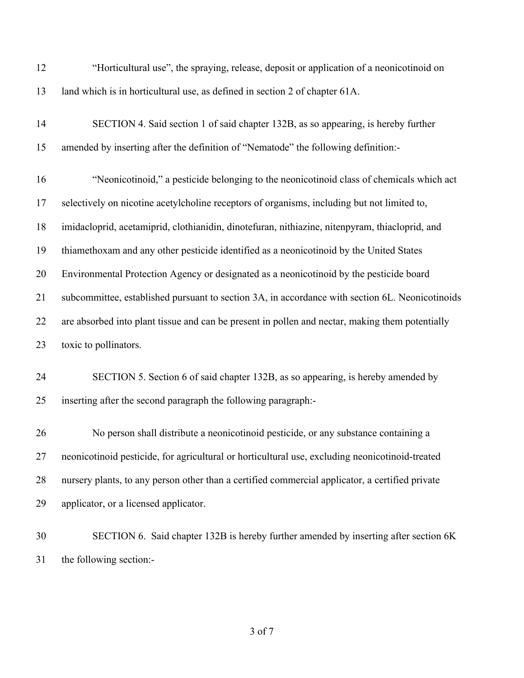| 12 | "Horticultural use", the spraying, release, deposit or application of a neonicotinoid on        |
|----|-------------------------------------------------------------------------------------------------|
| 13 | land which is in horticultural use, as defined in section 2 of chapter 61A.                     |
| 14 | SECTION 4. Said section 1 of said chapter 132B, as so appearing, is hereby further              |
| 15 | amended by inserting after the definition of "Nematode" the following definition:-              |
| 16 | "Neonicotinoid," a pesticide belonging to the neonicotinoid class of chemicals which act        |
| 17 | selectively on nicotine acetylcholine receptors of organisms, including but not limited to,     |
| 18 | imidacloprid, acetamiprid, clothianidin, dinotefuran, nithiazine, nitenpyram, thiacloprid, and  |
| 19 | thiamethoxam and any other pesticide identified as a neonicotinoid by the United States         |
| 20 | Environmental Protection Agency or designated as a neonicotinoid by the pesticide board         |
| 21 | subcommittee, established pursuant to section 3A, in accordance with section 6L. Neonicotinoids |
| 22 | are absorbed into plant tissue and can be present in pollen and nectar, making them potentially |
| 23 | toxic to pollinators.                                                                           |
| 24 | SECTION 5. Section 6 of said chapter 132B, as so appearing, is hereby amended by                |
| 25 | inserting after the second paragraph the following paragraph:-                                  |
| 26 | No person shall distribute a neonicotinoid pesticide, or any substance containing a             |
| 27 | neonicotinoid pesticide, for agricultural or horticultural use, excluding neonicotinoid-treated |
| 28 | nursery plants, to any person other than a certified commercial applicator, a certified private |
| 29 | applicator, or a licensed applicator.                                                           |
| 30 | SECTION 6. Said chapter 132B is hereby further amended by inserting after section 6K            |

the following section:-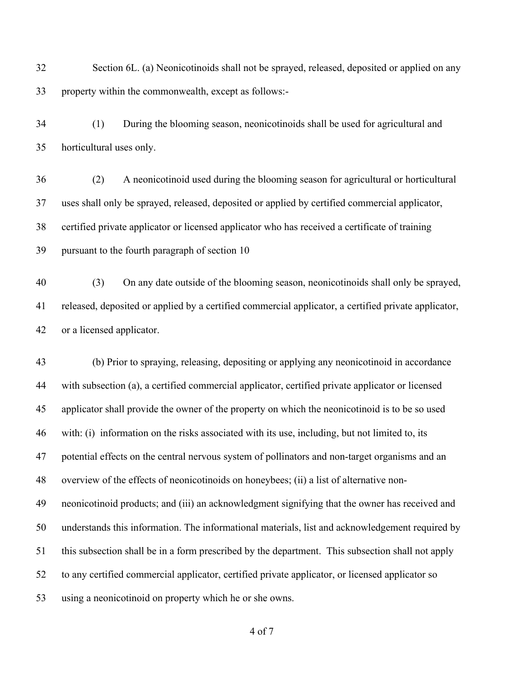Section 6L. (a) Neonicotinoids shall not be sprayed, released, deposited or applied on any property within the commonwealth, except as follows:-

 (1) During the blooming season, neonicotinoids shall be used for agricultural and horticultural uses only.

 (2) A neonicotinoid used during the blooming season for agricultural or horticultural uses shall only be sprayed, released, deposited or applied by certified commercial applicator, certified private applicator or licensed applicator who has received a certificate of training pursuant to the fourth paragraph of section 10

 (3) On any date outside of the blooming season, neonicotinoids shall only be sprayed, released, deposited or applied by a certified commercial applicator, a certified private applicator, or a licensed applicator.

 (b) Prior to spraying, releasing, depositing or applying any neonicotinoid in accordance with subsection (a), a certified commercial applicator, certified private applicator or licensed applicator shall provide the owner of the property on which the neonicotinoid is to be so used with: (i) information on the risks associated with its use, including, but not limited to, its potential effects on the central nervous system of pollinators and non-target organisms and an overview of the effects of neonicotinoids on honeybees; (ii) a list of alternative non- neonicotinoid products; and (iii) an acknowledgment signifying that the owner has received and understands this information. The informational materials, list and acknowledgement required by this subsection shall be in a form prescribed by the department. This subsection shall not apply to any certified commercial applicator, certified private applicator, or licensed applicator so using a neonicotinoid on property which he or she owns.

of 7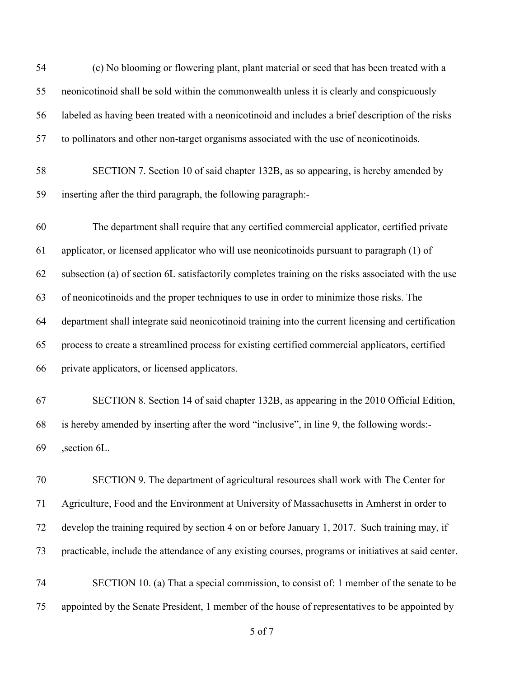| 54 | (c) No blooming or flowering plant, plant material or seed that has been treated with a              |
|----|------------------------------------------------------------------------------------------------------|
| 55 | neonicotinoid shall be sold within the commonwealth unless it is clearly and conspicuously           |
| 56 | labeled as having been treated with a neonicotinoid and includes a brief description of the risks    |
| 57 | to pollinators and other non-target organisms associated with the use of neonicotinoids.             |
| 58 | SECTION 7. Section 10 of said chapter 132B, as so appearing, is hereby amended by                    |
| 59 | inserting after the third paragraph, the following paragraph:-                                       |
| 60 | The department shall require that any certified commercial applicator, certified private             |
| 61 | applicator, or licensed applicator who will use neonicotinoids pursuant to paragraph (1) of          |
| 62 | subsection (a) of section 6L satisfactorily completes training on the risks associated with the use  |
| 63 | of neonicotinoids and the proper techniques to use in order to minimize those risks. The             |
| 64 | department shall integrate said neonicotinoid training into the current licensing and certification  |
| 65 | process to create a streamlined process for existing certified commercial applicators, certified     |
| 66 | private applicators, or licensed applicators.                                                        |
| 67 | SECTION 8. Section 14 of said chapter 132B, as appearing in the 2010 Official Edition,               |
| 68 | is hereby amended by inserting after the word "inclusive", in line 9, the following words:-          |
| 69 | , section 6L.                                                                                        |
| 70 | SECTION 9. The department of agricultural resources shall work with The Center for                   |
| 71 | Agriculture, Food and the Environment at University of Massachusetts in Amherst in order to          |
| 72 | develop the training required by section 4 on or before January 1, 2017. Such training may, if       |
| 73 | practicable, include the attendance of any existing courses, programs or initiatives at said center. |
| 74 | SECTION 10. (a) That a special commission, to consist of: 1 member of the senate to be               |
| 75 | appointed by the Senate President, 1 member of the house of representatives to be appointed by       |
|    |                                                                                                      |

of 7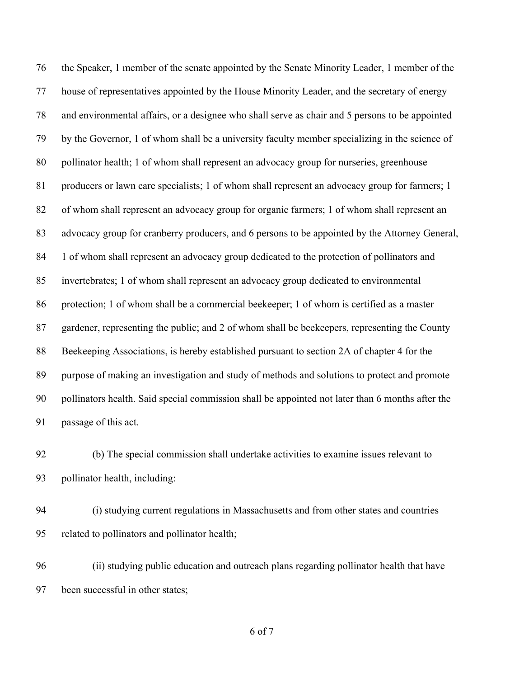the Speaker, 1 member of the senate appointed by the Senate Minority Leader, 1 member of the house of representatives appointed by the House Minority Leader, and the secretary of energy and environmental affairs, or a designee who shall serve as chair and 5 persons to be appointed by the Governor, 1 of whom shall be a university faculty member specializing in the science of pollinator health; 1 of whom shall represent an advocacy group for nurseries, greenhouse 81 producers or lawn care specialists; 1 of whom shall represent an advocacy group for farmers; 1 of whom shall represent an advocacy group for organic farmers; 1 of whom shall represent an advocacy group for cranberry producers, and 6 persons to be appointed by the Attorney General, 1 of whom shall represent an advocacy group dedicated to the protection of pollinators and invertebrates; 1 of whom shall represent an advocacy group dedicated to environmental protection; 1 of whom shall be a commercial beekeeper; 1 of whom is certified as a master gardener, representing the public; and 2 of whom shall be beekeepers, representing the County Beekeeping Associations, is hereby established pursuant to section 2A of chapter 4 for the purpose of making an investigation and study of methods and solutions to protect and promote pollinators health. Said special commission shall be appointed not later than 6 months after the passage of this act.

- (b) The special commission shall undertake activities to examine issues relevant to pollinator health, including:
- (i) studying current regulations in Massachusetts and from other states and countries related to pollinators and pollinator health;
- (ii) studying public education and outreach plans regarding pollinator health that have been successful in other states;

of 7